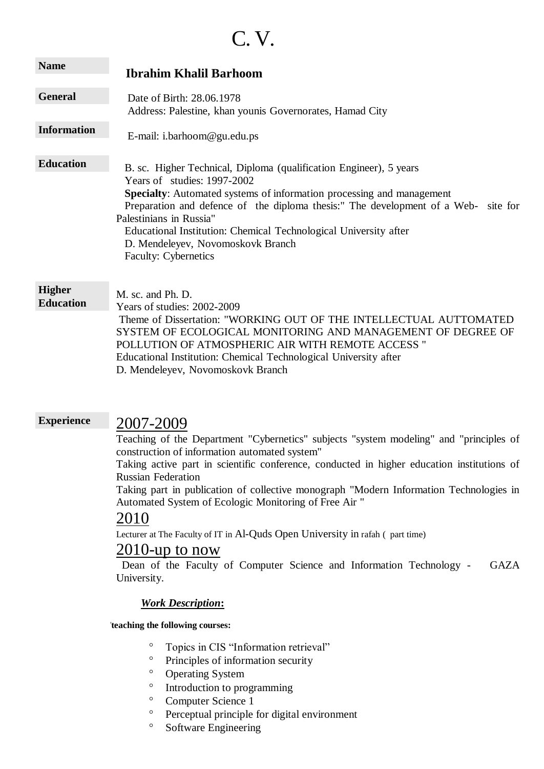# C. V.

| <b>Name</b>                       | <b>Ibrahim Khalil Barhoom</b>                                                                                                                                                                                                                                                                                                                                                                                                |
|-----------------------------------|------------------------------------------------------------------------------------------------------------------------------------------------------------------------------------------------------------------------------------------------------------------------------------------------------------------------------------------------------------------------------------------------------------------------------|
| <b>General</b>                    | Date of Birth: 28.06.1978<br>Address: Palestine, khan younis Governorates, Hamad City                                                                                                                                                                                                                                                                                                                                        |
| <b>Information</b>                | E-mail: i.barhoom@gu.edu.ps                                                                                                                                                                                                                                                                                                                                                                                                  |
| <b>Education</b>                  | B. sc. Higher Technical, Diploma (qualification Engineer), 5 years<br>Years of studies: 1997-2002<br>Specialty: Automated systems of information processing and management<br>Preparation and defence of the diploma thesis:" The development of a Web- site for<br>Palestinians in Russia"<br>Educational Institution: Chemical Technological University after<br>D. Mendeleyev, Novomoskovk Branch<br>Faculty: Cybernetics |
| <b>Higher</b><br><b>Education</b> | M. sc. and Ph. D.<br>Years of studies: 2002-2009<br>Theme of Dissertation: "WORKING OUT OF THE INTELLECTUAL AUTTOMATED<br>SYSTEM OF ECOLOGICAL MONITORING AND MANAGEMENT OF DEGREE OF<br>POLLUTION OF ATMOSPHERIC AIR WITH REMOTE ACCESS "<br>Educational Institution: Chemical Technological University after<br>D. Mendeleyev, Novomoskovk Branch                                                                          |

#### **Experience**

# 2007-2009

Teaching of the Department "Cybernetics" subjects "system modeling" and "principles of construction of information automated system"

Taking active part in scientific conference, conducted in higher education institutions of Russian Federation

Taking part in publication of collective monograph "Modern Information Technologies in Automated System of Ecologic Monitoring of Free Air "

### 2010

Lecturer at The Faculty of IT in Al-Quds Open University in rafah ( part time)

## 2010-up to now

Dean of the Faculty of Computer Science and Information Technology - GAZA University.

### *Work Description***:**

**- Tteaching the following courses:**

- Topics in CIS "Information retrieval"
- <sup>o</sup> Principles of information security
- <sup>o</sup> Operating System
- <sup>o</sup> Introduction to programming
- <sup>o</sup> Computer Science 1
- <sup>o</sup> Perceptual principle for digital environment
- <sup>o</sup> Software Engineering